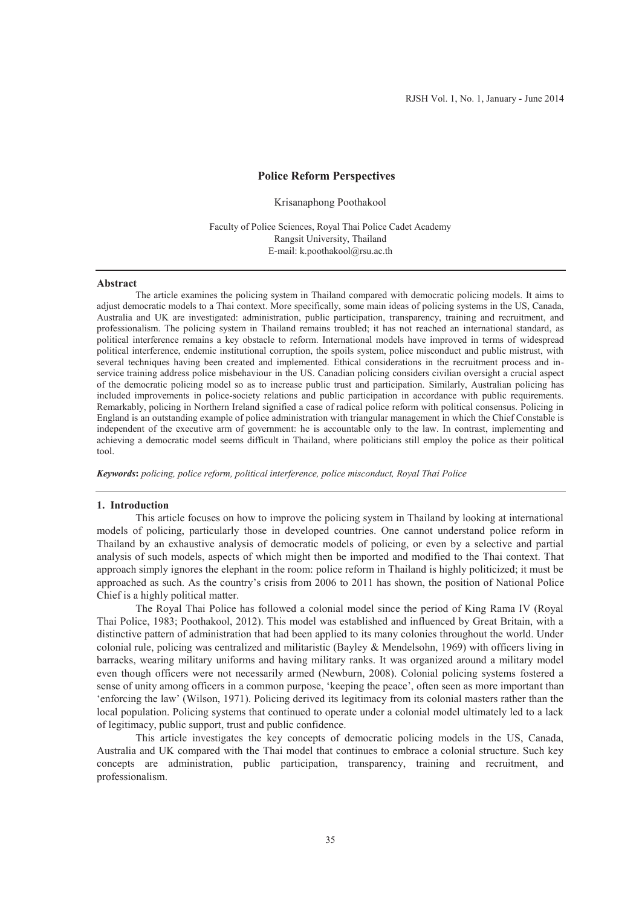# **Police Reform Perspectives**

Krisanaphong Poothakool

Faculty of Police Sciences, Royal Thai Police Cadet Academy Rangsit University, Thailand E-mail: k.poothakool@rsu.ac.th

#### **Abstract**

 The article examines the policing system in Thailand compared with democratic policing models. It aims to adjust democratic models to a Thai context. More specifically, some main ideas of policing systems in the US, Canada, Australia and UK are investigated: administration, public participation, transparency, training and recruitment, and professionalism. The policing system in Thailand remains troubled; it has not reached an international standard, as political interference remains a key obstacle to reform. International models have improved in terms of widespread political interference, endemic institutional corruption, the spoils system, police misconduct and public mistrust, with several techniques having been created and implemented. Ethical considerations in the recruitment process and inservice training address police misbehaviour in the US. Canadian policing considers civilian oversight a crucial aspect of the democratic policing model so as to increase public trust and participation. Similarly, Australian policing has included improvements in police-society relations and public participation in accordance with public requirements. Remarkably, policing in Northern Ireland signified a case of radical police reform with political consensus. Policing in England is an outstanding example of police administration with triangular management in which the Chief Constable is independent of the executive arm of government: he is accountable only to the law. In contrast, implementing and achieving a democratic model seems difficult in Thailand, where politicians still employ the police as their political tool.

*Keywords***:** *policing, police reform, political interference, police misconduct, Royal Thai Police* 

#### **1. Introduction**

 This article focuses on how to improve the policing system in Thailand by looking at international models of policing, particularly those in developed countries. One cannot understand police reform in Thailand by an exhaustive analysis of democratic models of policing, or even by a selective and partial analysis of such models, aspects of which might then be imported and modified to the Thai context. That approach simply ignores the elephant in the room: police reform in Thailand is highly politicized; it must be approached as such. As the country's crisis from 2006 to 2011 has shown, the position of National Police Chief is a highly political matter.

 The Royal Thai Police has followed a colonial model since the period of King Rama IV (Royal Thai Police, 1983; Poothakool, 2012). This model was established and influenced by Great Britain, with a distinctive pattern of administration that had been applied to its many colonies throughout the world. Under colonial rule, policing was centralized and militaristic (Bayley & Mendelsohn, 1969) with officers living in barracks, wearing military uniforms and having military ranks. It was organized around a military model even though officers were not necessarily armed (Newburn, 2008). Colonial policing systems fostered a sense of unity among officers in a common purpose, 'keeping the peace', often seen as more important than 'enforcing the law' (Wilson, 1971). Policing derived its legitimacy from its colonial masters rather than the local population. Policing systems that continued to operate under a colonial model ultimately led to a lack of legitimacy, public support, trust and public confidence.

 This article investigates the key concepts of democratic policing models in the US, Canada, Australia and UK compared with the Thai model that continues to embrace a colonial structure. Such key concepts are administration, public participation, transparency, training and recruitment, and professionalism.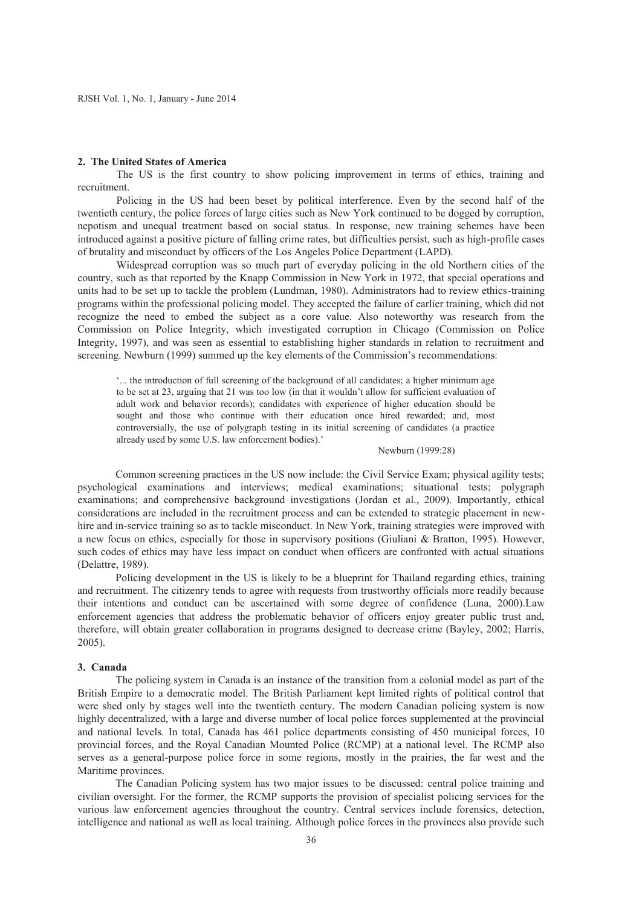# **2. The United States of America**

 The US is the first country to show policing improvement in terms of ethics, training and recruitment.

Policing in the US had been beset by political interference. Even by the second half of the twentieth century, the police forces of large cities such as New York continued to be dogged by corruption, nepotism and unequal treatment based on social status. In response, new training schemes have been introduced against a positive picture of falling crime rates, but difficulties persist, such as high-profile cases of brutality and misconduct by officers of the Los Angeles Police Department (LAPD).

 Widespread corruption was so much part of everyday policing in the old Northern cities of the country, such as that reported by the Knapp Commission in New York in 1972, that special operations and units had to be set up to tackle the problem (Lundman, 1980). Administrators had to review ethics-training programs within the professional policing model. They accepted the failure of earlier training, which did not recognize the need to embed the subject as a core value. Also noteworthy was research from the Commission on Police Integrity, which investigated corruption in Chicago (Commission on Police Integrity, 1997), and was seen as essential to establishing higher standards in relation to recruitment and screening. Newburn (1999) summed up the key elements of the Commission's recommendations:

'... the introduction of full screening of the background of all candidates; a higher minimum age to be set at 23, arguing that 21 was too low (in that it wouldn't allow for sufficient evaluation of adult work and behavior records); candidates with experience of higher education should be sought and those who continue with their education once hired rewarded; and, most controversially, the use of polygraph testing in its initial screening of candidates (a practice already used by some U.S. law enforcement bodies).'

### Newburn (1999:28)

Common screening practices in the US now include: the Civil Service Exam; physical agility tests; psychological examinations and interviews; medical examinations; situational tests; polygraph examinations; and comprehensive background investigations (Jordan et al., 2009). Importantly, ethical considerations are included in the recruitment process and can be extended to strategic placement in newhire and in-service training so as to tackle misconduct. In New York, training strategies were improved with a new focus on ethics, especially for those in supervisory positions (Giuliani & Bratton, 1995). However, such codes of ethics may have less impact on conduct when officers are confronted with actual situations (Delattre, 1989).

Policing development in the US is likely to be a blueprint for Thailand regarding ethics, training and recruitment. The citizenry tends to agree with requests from trustworthy officials more readily because their intentions and conduct can be ascertained with some degree of confidence (Luna, 2000).Law enforcement agencies that address the problematic behavior of officers enjoy greater public trust and, therefore, will obtain greater collaboration in programs designed to decrease crime (Bayley, 2002; Harris, 2005).

#### **3. Canada**

The policing system in Canada is an instance of the transition from a colonial model as part of the British Empire to a democratic model. The British Parliament kept limited rights of political control that were shed only by stages well into the twentieth century. The modern Canadian policing system is now highly decentralized, with a large and diverse number of local police forces supplemented at the provincial and national levels. In total, Canada has 461 police departments consisting of 450 municipal forces, 10 provincial forces, and the Royal Canadian Mounted Police (RCMP) at a national level. The RCMP also serves as a general-purpose police force in some regions, mostly in the prairies, the far west and the Maritime provinces.

The Canadian Policing system has two major issues to be discussed: central police training and civilian oversight. For the former, the RCMP supports the provision of specialist policing services for the various law enforcement agencies throughout the country. Central services include forensics, detection, intelligence and national as well as local training. Although police forces in the provinces also provide such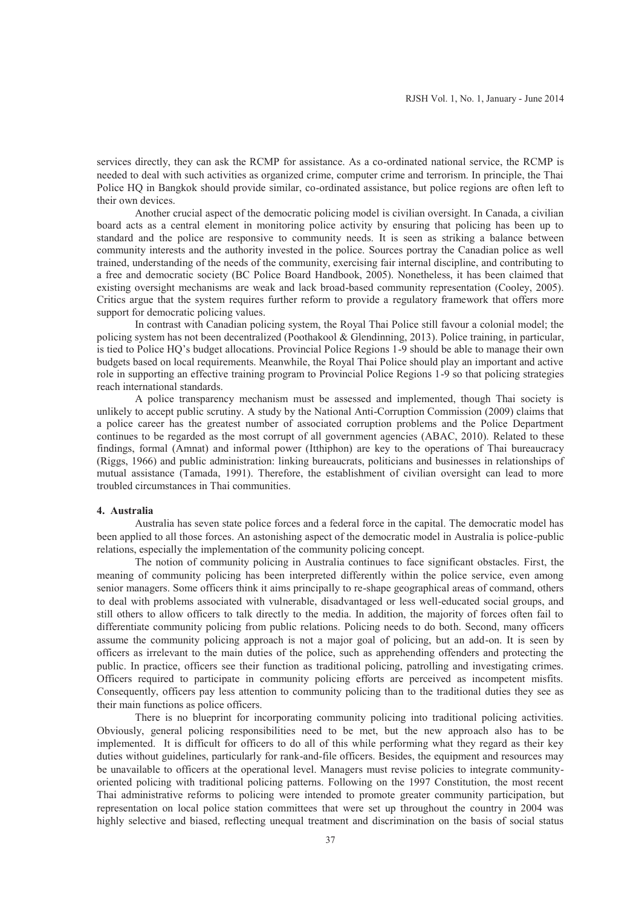services directly, they can ask the RCMP for assistance. As a co-ordinated national service, the RCMP is needed to deal with such activities as organized crime, computer crime and terrorism. In principle, the Thai Police HQ in Bangkok should provide similar, co-ordinated assistance, but police regions are often left to their own devices.

Another crucial aspect of the democratic policing model is civilian oversight. In Canada, a civilian board acts as a central element in monitoring police activity by ensuring that policing has been up to standard and the police are responsive to community needs. It is seen as striking a balance between community interests and the authority invested in the police. Sources portray the Canadian police as well trained, understanding of the needs of the community, exercising fair internal discipline, and contributing to a free and democratic society (BC Police Board Handbook, 2005). Nonetheless, it has been claimed that existing oversight mechanisms are weak and lack broad-based community representation (Cooley, 2005). Critics argue that the system requires further reform to provide a regulatory framework that offers more support for democratic policing values.

In contrast with Canadian policing system, the Royal Thai Police still favour a colonial model; the policing system has not been decentralized (Poothakool & Glendinning, 2013). Police training, in particular, is tied to Police HQ's budget allocations. Provincial Police Regions 1-9 should be able to manage their own budgets based on local requirements. Meanwhile, the Royal Thai Police should play an important and active role in supporting an effective training program to Provincial Police Regions 1-9 so that policing strategies reach international standards.

A police transparency mechanism must be assessed and implemented, though Thai society is unlikely to accept public scrutiny. A study by the National Anti-Corruption Commission (2009) claims that a police career has the greatest number of associated corruption problems and the Police Department continues to be regarded as the most corrupt of all government agencies (ABAC, 2010). Related to these findings, formal (Amnat) and informal power (Itthiphon) are key to the operations of Thai bureaucracy (Riggs, 1966) and public administration: linking bureaucrats, politicians and businesses in relationships of mutual assistance (Tamada, 1991). Therefore, the establishment of civilian oversight can lead to more troubled circumstances in Thai communities.

### **4. Australia**

Australia has seven state police forces and a federal force in the capital. The democratic model has been applied to all those forces. An astonishing aspect of the democratic model in Australia is police-public relations, especially the implementation of the community policing concept.

The notion of community policing in Australia continues to face significant obstacles. First, the meaning of community policing has been interpreted differently within the police service, even among senior managers. Some officers think it aims principally to re-shape geographical areas of command, others to deal with problems associated with vulnerable, disadvantaged or less well-educated social groups, and still others to allow officers to talk directly to the media. In addition, the majority of forces often fail to differentiate community policing from public relations. Policing needs to do both. Second, many officers assume the community policing approach is not a major goal of policing, but an add-on. It is seen by officers as irrelevant to the main duties of the police, such as apprehending offenders and protecting the public. In practice, officers see their function as traditional policing, patrolling and investigating crimes. Officers required to participate in community policing efforts are perceived as incompetent misfits. Consequently, officers pay less attention to community policing than to the traditional duties they see as their main functions as police officers.

There is no blueprint for incorporating community policing into traditional policing activities. Obviously, general policing responsibilities need to be met, but the new approach also has to be implemented. It is difficult for officers to do all of this while performing what they regard as their key duties without guidelines, particularly for rank-and-file officers. Besides, the equipment and resources may be unavailable to officers at the operational level. Managers must revise policies to integrate communityoriented policing with traditional policing patterns. Following on the 1997 Constitution, the most recent Thai administrative reforms to policing were intended to promote greater community participation, but representation on local police station committees that were set up throughout the country in 2004 was highly selective and biased, reflecting unequal treatment and discrimination on the basis of social status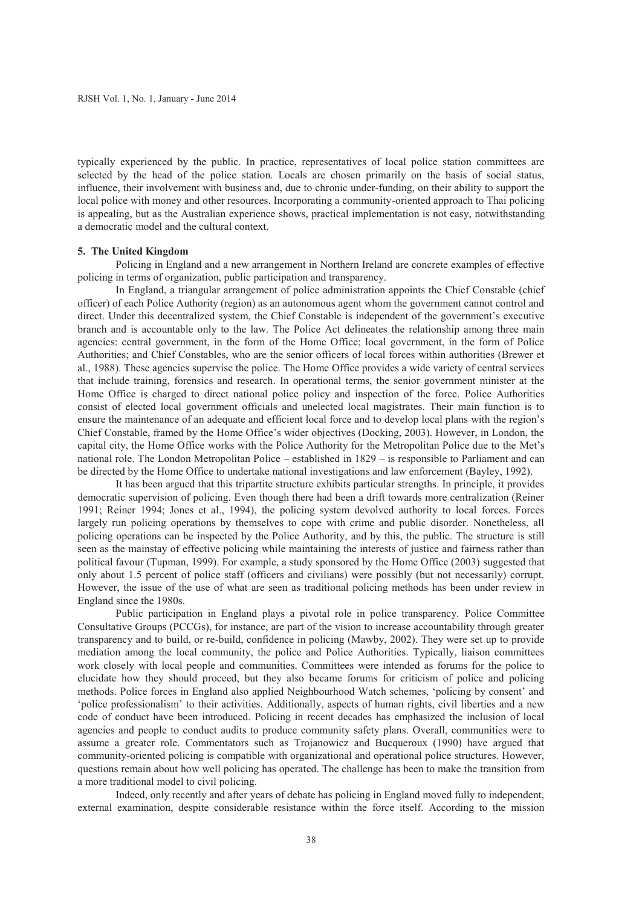typically experienced by the public. In practice, representatives of local police station committees are selected by the head of the police station. Locals are chosen primarily on the basis of social status, influence, their involvement with business and, due to chronic under-funding, on their ability to support the local police with money and other resources. Incorporating a community-oriented approach to Thai policing is appealing, but as the Australian experience shows, practical implementation is not easy, notwithstanding a democratic model and the cultural context.

## **5. The United Kingdom**

Policing in England and a new arrangement in Northern Ireland are concrete examples of effective policing in terms of organization, public participation and transparency.

In England, a triangular arrangement of police administration appoints the Chief Constable (chief officer) of each Police Authority (region) as an autonomous agent whom the government cannot control and direct. Under this decentralized system, the Chief Constable is independent of the government's executive branch and is accountable only to the law. The Police Act delineates the relationship among three main agencies: central government, in the form of the Home Office; local government, in the form of Police Authorities; and Chief Constables, who are the senior officers of local forces within authorities (Brewer et al., 1988). These agencies supervise the police. The Home Office provides a wide variety of central services that include training, forensics and research. In operational terms, the senior government minister at the Home Office is charged to direct national police policy and inspection of the force. Police Authorities consist of elected local government officials and unelected local magistrates. Their main function is to ensure the maintenance of an adequate and efficient local force and to develop local plans with the region's Chief Constable, framed by the Home Office's wider objectives (Docking, 2003). However, in London, the capital city, the Home Office works with the Police Authority for the Metropolitan Police due to the Met's national role. The London Metropolitan Police – established in 1829 – is responsible to Parliament and can be directed by the Home Office to undertake national investigations and law enforcement (Bayley, 1992).

It has been argued that this tripartite structure exhibits particular strengths. In principle, it provides democratic supervision of policing. Even though there had been a drift towards more centralization (Reiner 1991; Reiner 1994; Jones et al., 1994), the policing system devolved authority to local forces. Forces largely run policing operations by themselves to cope with crime and public disorder. Nonetheless, all policing operations can be inspected by the Police Authority, and by this, the public. The structure is still seen as the mainstay of effective policing while maintaining the interests of justice and fairness rather than political favour (Tupman, 1999). For example, a study sponsored by the Home Office (2003) suggested that only about 1.5 percent of police staff (officers and civilians) were possibly (but not necessarily) corrupt. However, the issue of the use of what are seen as traditional policing methods has been under review in England since the 1980s.

Public participation in England plays a pivotal role in police transparency. Police Committee Consultative Groups (PCCGs), for instance, are part of the vision to increase accountability through greater transparency and to build, or re-build, confidence in policing (Mawby, 2002). They were set up to provide mediation among the local community, the police and Police Authorities. Typically, liaison committees work closely with local people and communities. Committees were intended as forums for the police to elucidate how they should proceed, but they also became forums for criticism of police and policing methods. Police forces in England also applied Neighbourhood Watch schemes, 'policing by consent' and 'police professionalism' to their activities. Additionally, aspects of human rights, civil liberties and a new code of conduct have been introduced. Policing in recent decades has emphasized the inclusion of local agencies and people to conduct audits to produce community safety plans. Overall, communities were to assume a greater role. Commentators such as Trojanowicz and Bucqueroux (1990) have argued that community-oriented policing is compatible with organizational and operational police structures. However, questions remain about how well policing has operated. The challenge has been to make the transition from a more traditional model to civil policing.

Indeed, only recently and after years of debate has policing in England moved fully to independent, external examination, despite considerable resistance within the force itself. According to the mission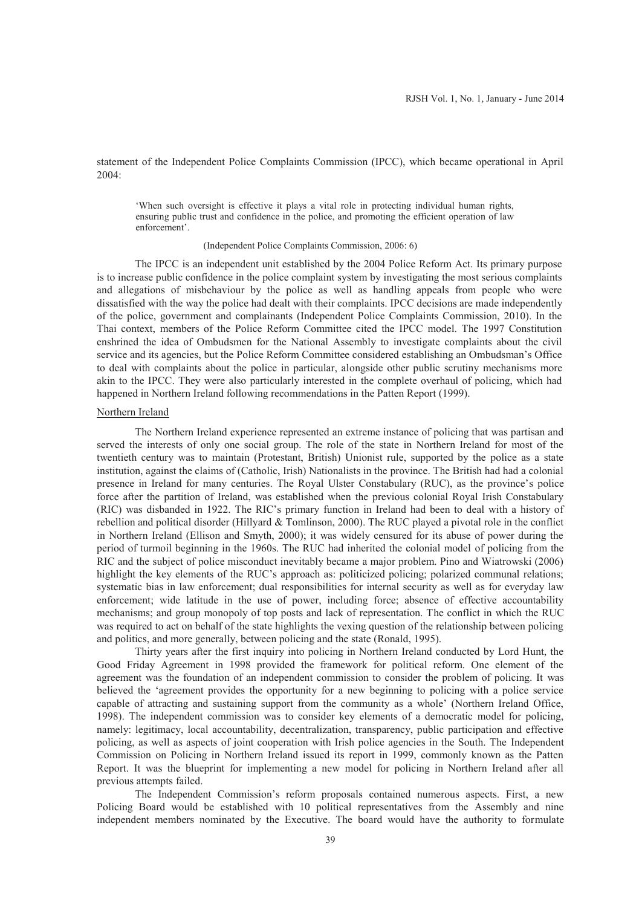statement of the Independent Police Complaints Commission (IPCC), which became operational in April 2004:

'When such oversight is effective it plays a vital role in protecting individual human rights, ensuring public trust and confidence in the police, and promoting the efficient operation of law enforcement'.

# (Independent Police Complaints Commission, 2006: 6)

The IPCC is an independent unit established by the 2004 Police Reform Act. Its primary purpose is to increase public confidence in the police complaint system by investigating the most serious complaints and allegations of misbehaviour by the police as well as handling appeals from people who were dissatisfied with the way the police had dealt with their complaints. IPCC decisions are made independently of the police, government and complainants (Independent Police Complaints Commission, 2010). In the Thai context, members of the Police Reform Committee cited the IPCC model. The 1997 Constitution enshrined the idea of Ombudsmen for the National Assembly to investigate complaints about the civil service and its agencies, but the Police Reform Committee considered establishing an Ombudsman's Office to deal with complaints about the police in particular, alongside other public scrutiny mechanisms more akin to the IPCC. They were also particularly interested in the complete overhaul of policing, which had happened in Northern Ireland following recommendations in the Patten Report (1999).

### Northern Ireland

The Northern Ireland experience represented an extreme instance of policing that was partisan and served the interests of only one social group. The role of the state in Northern Ireland for most of the twentieth century was to maintain (Protestant, British) Unionist rule, supported by the police as a state institution, against the claims of (Catholic, Irish) Nationalists in the province. The British had had a colonial presence in Ireland for many centuries. The Royal Ulster Constabulary (RUC), as the province's police force after the partition of Ireland, was established when the previous colonial Royal Irish Constabulary (RIC) was disbanded in 1922. The RIC's primary function in Ireland had been to deal with a history of rebellion and political disorder (Hillyard & Tomlinson, 2000). The RUC played a pivotal role in the conflict in Northern Ireland (Ellison and Smyth, 2000); it was widely censured for its abuse of power during the period of turmoil beginning in the 1960s. The RUC had inherited the colonial model of policing from the RIC and the subject of police misconduct inevitably became a major problem. Pino and Wiatrowski (2006) highlight the key elements of the RUC's approach as: politicized policing; polarized communal relations; systematic bias in law enforcement; dual responsibilities for internal security as well as for everyday law enforcement; wide latitude in the use of power, including force; absence of effective accountability mechanisms; and group monopoly of top posts and lack of representation. The conflict in which the RUC was required to act on behalf of the state highlights the vexing question of the relationship between policing and politics, and more generally, between policing and the state (Ronald, 1995).

Thirty years after the first inquiry into policing in Northern Ireland conducted by Lord Hunt, the Good Friday Agreement in 1998 provided the framework for political reform. One element of the agreement was the foundation of an independent commission to consider the problem of policing. It was believed the 'agreement provides the opportunity for a new beginning to policing with a police service capable of attracting and sustaining support from the community as a whole' (Northern Ireland Office, 1998). The independent commission was to consider key elements of a democratic model for policing, namely: legitimacy, local accountability, decentralization, transparency, public participation and effective policing, as well as aspects of joint cooperation with Irish police agencies in the South. The Independent Commission on Policing in Northern Ireland issued its report in 1999, commonly known as the Patten Report. It was the blueprint for implementing a new model for policing in Northern Ireland after all previous attempts failed.

The Independent Commission's reform proposals contained numerous aspects. First, a new Policing Board would be established with 10 political representatives from the Assembly and nine independent members nominated by the Executive. The board would have the authority to formulate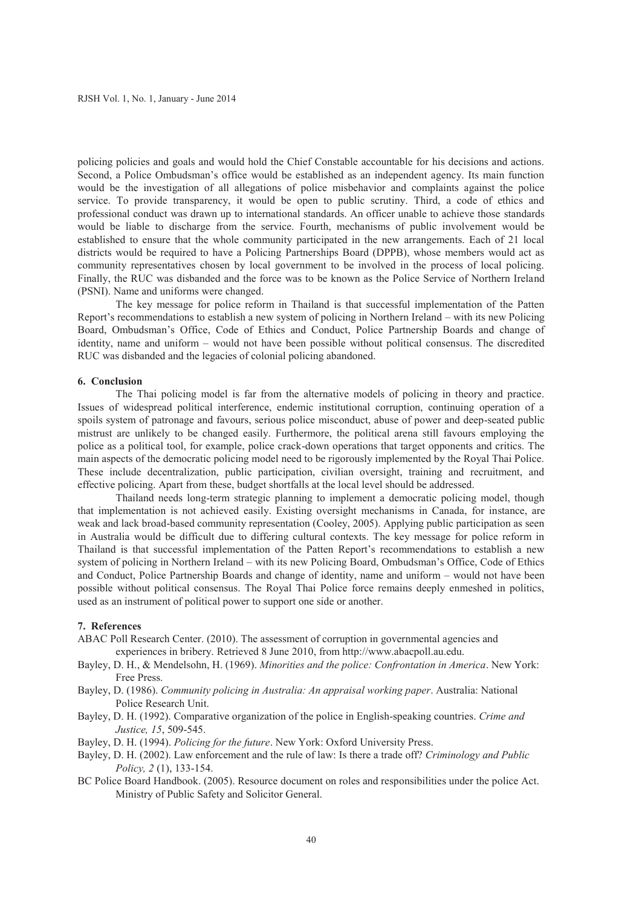policing policies and goals and would hold the Chief Constable accountable for his decisions and actions. Second, a Police Ombudsman's office would be established as an independent agency. Its main function would be the investigation of all allegations of police misbehavior and complaints against the police service. To provide transparency, it would be open to public scrutiny. Third, a code of ethics and professional conduct was drawn up to international standards. An officer unable to achieve those standards would be liable to discharge from the service. Fourth, mechanisms of public involvement would be established to ensure that the whole community participated in the new arrangements. Each of 21 local districts would be required to have a Policing Partnerships Board (DPPB), whose members would act as community representatives chosen by local government to be involved in the process of local policing. Finally, the RUC was disbanded and the force was to be known as the Police Service of Northern Ireland (PSNI). Name and uniforms were changed.

The key message for police reform in Thailand is that successful implementation of the Patten Report's recommendations to establish a new system of policing in Northern Ireland – with its new Policing Board, Ombudsman's Office, Code of Ethics and Conduct, Police Partnership Boards and change of identity, name and uniform – would not have been possible without political consensus. The discredited RUC was disbanded and the legacies of colonial policing abandoned.

## **6. Conclusion**

The Thai policing model is far from the alternative models of policing in theory and practice. Issues of widespread political interference, endemic institutional corruption, continuing operation of a spoils system of patronage and favours, serious police misconduct, abuse of power and deep-seated public mistrust are unlikely to be changed easily. Furthermore, the political arena still favours employing the police as a political tool, for example, police crack-down operations that target opponents and critics. The main aspects of the democratic policing model need to be rigorously implemented by the Royal Thai Police. These include decentralization, public participation, civilian oversight, training and recruitment, and effective policing. Apart from these, budget shortfalls at the local level should be addressed.

Thailand needs long-term strategic planning to implement a democratic policing model, though that implementation is not achieved easily. Existing oversight mechanisms in Canada, for instance, are weak and lack broad-based community representation (Cooley, 2005). Applying public participation as seen in Australia would be difficult due to differing cultural contexts. The key message for police reform in Thailand is that successful implementation of the Patten Report's recommendations to establish a new system of policing in Northern Ireland – with its new Policing Board, Ombudsman's Office, Code of Ethics and Conduct, Police Partnership Boards and change of identity, name and uniform – would not have been possible without political consensus. The Royal Thai Police force remains deeply enmeshed in politics, used as an instrument of political power to support one side or another.

### **7. References**

- ABAC Poll Research Center. (2010). The assessment of corruption in governmental agencies and experiences in bribery. Retrieved 8 June 2010, from http://www.abacpoll.au.edu.
- Bayley, D. H., & Mendelsohn, H. (1969). *Minorities and the police: Confrontation in America*. New York: Free Press.
- Bayley, D. (1986). *Community policing in Australia: An appraisal working paper*. Australia: National Police Research Unit.
- Bayley, D. H. (1992). Comparative organization of the police in English-speaking countries. *Crime and Justice, 15*, 509-545.
- Bayley, D. H. (1994). *Policing for the future*. New York: Oxford University Press.
- Bayley, D. H. (2002). Law enforcement and the rule of law: Is there a trade off? *Criminology and Public Policy, 2* (1), 133-154.
- BC Police Board Handbook. (2005). Resource document on roles and responsibilities under the police Act. Ministry of Public Safety and Solicitor General.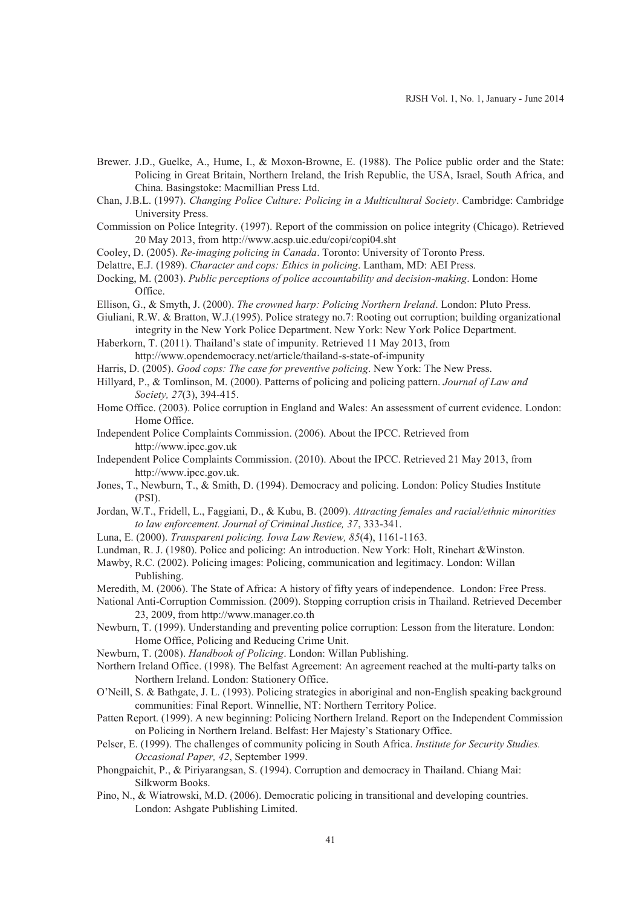- Brewer. J.D., Guelke, A., Hume, I., & Moxon-Browne, E. (1988). The Police public order and the State: Policing in Great Britain, Northern Ireland, the Irish Republic, the USA, Israel, South Africa, and China. Basingstoke: Macmillian Press Ltd.
- Chan, J.B.L. (1997). *Changing Police Culture: Policing in a Multicultural Society*. Cambridge: Cambridge University Press.
- Commission on Police Integrity. (1997). Report of the commission on police integrity (Chicago). Retrieved 20 May 2013, from http://www.acsp.uic.edu/copi/copi04.sht
- Cooley, D. (2005). *Re-imaging policing in Canada*. Toronto: University of Toronto Press.
- Delattre, E.J. (1989). *Character and cops: Ethics in policing*. Lantham, MD: AEI Press.
- Docking, M. (2003). *Public perceptions of police accountability and decision-making*. London: Home Office.
- Ellison, G., & Smyth, J. (2000). *The crowned harp: Policing Northern Ireland*. London: Pluto Press.
- Giuliani, R.W. & Bratton, W.J.(1995). Police strategy no.7: Rooting out corruption; building organizational integrity in the New York Police Department. New York: New York Police Department.
- Haberkorn, T. (2011). Thailand's state of impunity. Retrieved 11 May 2013, from http://www.opendemocracy.net/article/thailand-s-state-of-impunity
- Harris, D. (2005). *Good cops: The case for preventive policing*. New York: The New Press.
- Hillyard, P., & Tomlinson, M. (2000). Patterns of policing and policing pattern. *Journal of Law and Society, 27*(3), 394-415.
- Home Office. (2003). Police corruption in England and Wales: An assessment of current evidence. London: Home Office.
- Independent Police Complaints Commission. (2006). About the IPCC. Retrieved from http://www.ipcc.gov.uk
- Independent Police Complaints Commission. (2010). About the IPCC. Retrieved 21 May 2013, from http://www.ipcc.gov.uk.
- Jones, T., Newburn, T., & Smith, D. (1994). Democracy and policing. London: Policy Studies Institute (PSI).
- Jordan, W.T., Fridell, L., Faggiani, D., & Kubu, B. (2009). *Attracting females and racial/ethnic minorities to law enforcement. Journal of Criminal Justice, 37*, 333-341.
- Luna, E. (2000). *Transparent policing. Iowa Law Review, 85*(4), 1161-1163.
- Lundman, R. J. (1980). Police and policing: An introduction. New York: Holt, Rinehart &Winston.
- Mawby, R.C. (2002). Policing images: Policing, communication and legitimacy. London: Willan Publishing.
- Meredith, M. (2006). The State of Africa: A history of fifty years of independence. London: Free Press.
- National Anti-Corruption Commission. (2009). Stopping corruption crisis in Thailand. Retrieved December 23, 2009, from http://www.manager.co.th
- Newburn, T. (1999). Understanding and preventing police corruption: Lesson from the literature. London: Home Office, Policing and Reducing Crime Unit.
- Newburn, T. (2008). *Handbook of Policing*. London: Willan Publishing.
- Northern Ireland Office. (1998). The Belfast Agreement: An agreement reached at the multi-party talks on Northern Ireland. London: Stationery Office.
- O'Neill, S. & Bathgate, J. L. (1993). Policing strategies in aboriginal and non-English speaking background communities: Final Report. Winnellie, NT: Northern Territory Police.
- Patten Report. (1999). A new beginning: Policing Northern Ireland. Report on the Independent Commission on Policing in Northern Ireland. Belfast: Her Majesty's Stationary Office.
- Pelser, E. (1999). The challenges of community policing in South Africa. *Institute for Security Studies. Occasional Paper, 42*, September 1999.
- Phongpaichit, P., & Piriyarangsan, S. (1994). Corruption and democracy in Thailand. Chiang Mai: Silkworm Books.
- Pino, N., & Wiatrowski, M.D. (2006). Democratic policing in transitional and developing countries. London: Ashgate Publishing Limited.